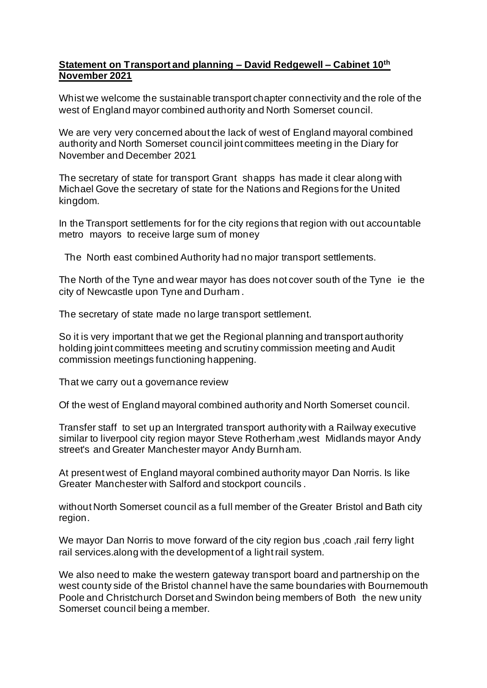## **Statement on Transport and planning – David Redgewell – Cabinet 10th November 2021**

Whist we welcome the sustainable transport chapter connectivity and the role of the west of England mayor combined authority and North Somerset council.

We are very very concerned about the lack of west of England mayoral combined authority and North Somerset council joint committees meeting in the Diary for November and December 2021

The secretary of state for transport Grant shapps has made it clear along with Michael Gove the secretary of state for the Nations and Regions for the United kingdom.

In the Transport settlements for for the city regions that region with out accountable metro mayors to receive large sum of money

The North east combined Authority had no major transport settlements.

The North of the Tyne and wear mayor has does not cover south of the Tyne ie the city of Newcastle upon Tyne and Durham .

The secretary of state made no large transport settlement.

So it is very important that we get the Regional planning and transport authority holding joint committees meeting and scrutiny commission meeting and Audit commission meetings functioning happening.

That we carry out a governance review

Of the west of England mayoral combined authority and North Somerset council.

Transfer staff to set up an Intergrated transport authority with a Railway executive similar to liverpool city region mayor Steve Rotherham ,west Midlands mayor Andy street's and Greater Manchester mayor Andy Burnham.

At present west of England mayoral combined authority mayor Dan Norris. Is like Greater Manchester with Salford and stockport councils .

without North Somerset council as a full member of the Greater Bristol and Bath city region.

We mayor Dan Norris to move forward of the city region bus ,coach ,rail ferry light rail services.along with the development of a light rail system.

We also need to make the western gateway transport board and partnership on the west county side of the Bristol channel have the same boundaries with Bournemouth Poole and Christchurch Dorset and Swindon being members of Both the new unity Somerset council being a member.